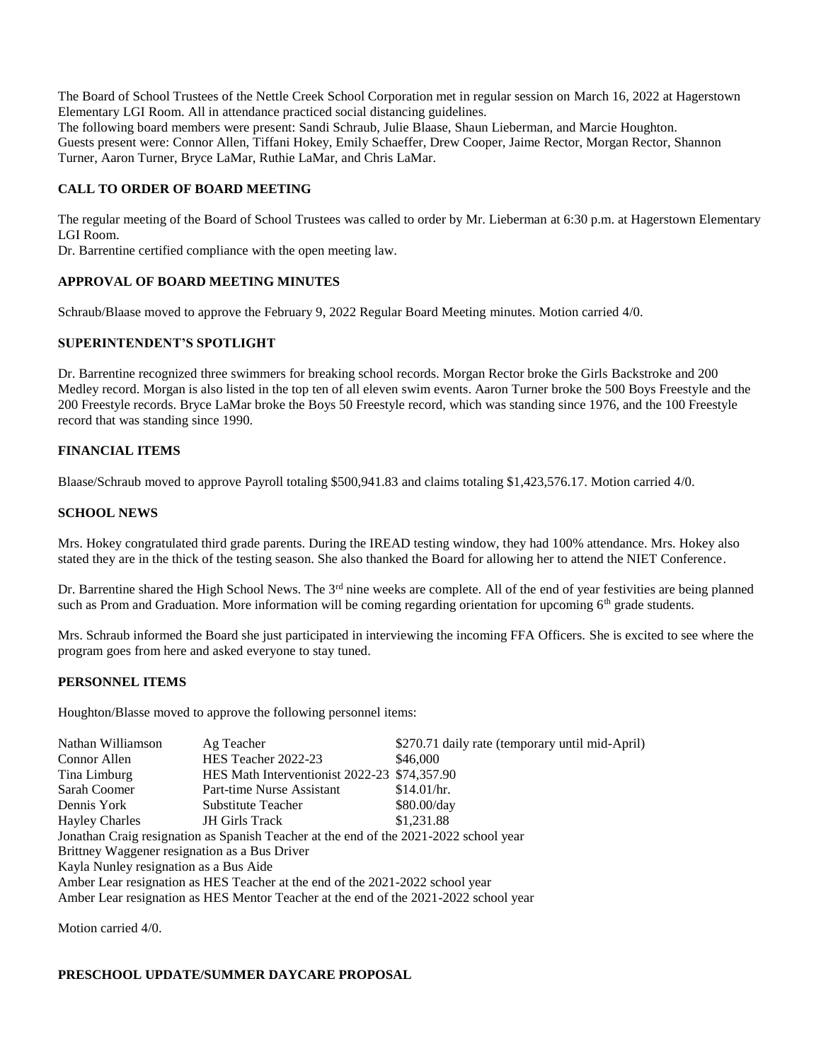The Board of School Trustees of the Nettle Creek School Corporation met in regular session on March 16, 2022 at Hagerstown Elementary LGI Room. All in attendance practiced social distancing guidelines.

The following board members were present: Sandi Schraub, Julie Blaase, Shaun Lieberman, and Marcie Houghton. Guests present were: Connor Allen, Tiffani Hokey, Emily Schaeffer, Drew Cooper, Jaime Rector, Morgan Rector, Shannon Turner, Aaron Turner, Bryce LaMar, Ruthie LaMar, and Chris LaMar.

# **CALL TO ORDER OF BOARD MEETING**

The regular meeting of the Board of School Trustees was called to order by Mr. Lieberman at 6:30 p.m. at Hagerstown Elementary LGI Room.

Dr. Barrentine certified compliance with the open meeting law.

## **APPROVAL OF BOARD MEETING MINUTES**

Schraub/Blaase moved to approve the February 9, 2022 Regular Board Meeting minutes. Motion carried 4/0.

## **SUPERINTENDENT'S SPOTLIGHT**

Dr. Barrentine recognized three swimmers for breaking school records. Morgan Rector broke the Girls Backstroke and 200 Medley record. Morgan is also listed in the top ten of all eleven swim events. Aaron Turner broke the 500 Boys Freestyle and the 200 Freestyle records. Bryce LaMar broke the Boys 50 Freestyle record, which was standing since 1976, and the 100 Freestyle record that was standing since 1990.

## **FINANCIAL ITEMS**

Blaase/Schraub moved to approve Payroll totaling \$500,941.83 and claims totaling \$1,423,576.17. Motion carried 4/0.

#### **SCHOOL NEWS**

Mrs. Hokey congratulated third grade parents. During the IREAD testing window, they had 100% attendance. Mrs. Hokey also stated they are in the thick of the testing season. She also thanked the Board for allowing her to attend the NIET Conference.

Dr. Barrentine shared the High School News. The 3<sup>rd</sup> nine weeks are complete. All of the end of year festivities are being planned such as Prom and Graduation. More information will be coming regarding orientation for upcoming  $6<sup>th</sup>$  grade students.

Mrs. Schraub informed the Board she just participated in interviewing the incoming FFA Officers. She is excited to see where the program goes from here and asked everyone to stay tuned.

#### **PERSONNEL ITEMS**

Houghton/Blasse moved to approve the following personnel items:

| Nathan Williamson                                                                     | Ag Teacher                                   | \$270.71 daily rate (temporary until mid-April) |
|---------------------------------------------------------------------------------------|----------------------------------------------|-------------------------------------------------|
| Connor Allen                                                                          | HES Teacher 2022-23                          | \$46,000                                        |
| Tina Limburg                                                                          | HES Math Interventionist 2022-23 \$74,357.90 |                                                 |
| Sarah Coomer                                                                          | Part-time Nurse Assistant                    | \$14.01/hr.                                     |
| Dennis York                                                                           | Substitute Teacher                           | \$80.00/day                                     |
| <b>Hayley Charles</b>                                                                 | <b>JH</b> Girls Track                        | \$1,231.88                                      |
| Jonathan Craig resignation as Spanish Teacher at the end of the 2021-2022 school year |                                              |                                                 |
| Brittney Waggener resignation as a Bus Driver                                         |                                              |                                                 |
| Kayla Nunley resignation as a Bus Aide                                                |                                              |                                                 |
| Amber Lear resignation as HES Teacher at the end of the 2021-2022 school year         |                                              |                                                 |
| Amber Lear resignation as HES Mentor Teacher at the end of the 2021-2022 school year  |                                              |                                                 |

Motion carried 4/0.

#### **PRESCHOOL UPDATE/SUMMER DAYCARE PROPOSAL**